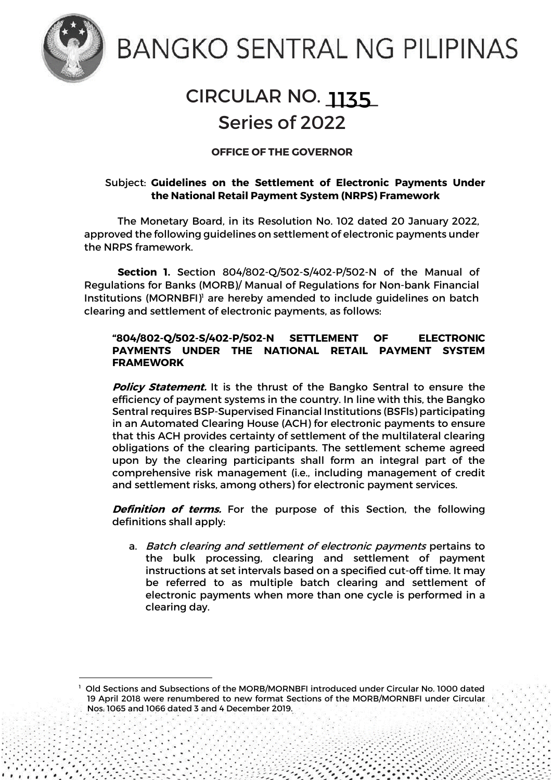

1

# **BANGKO SENTRAL NG PILIPINAS**

## CIRCULAR NO. <u>1135</u> Series of 2022

### **OFFICE OF THE GOVERNOR**

#### Subject: **Guidelines on the Settlement of Electronic Payments Under the National Retail Payment System (NRPS) Framework**

The Monetary Board, in its Resolution No. 102 dated 20 January 2022, approved the following guidelines on settlement of electronic payments under the NRPS framework.

**Section 1.** Section 804/802-Q/502-S/402-P/502-N of the Manual of Regulations for Banks (MORB)/ Manual of Regulations for Non-bank Financial Institutions (MORNBFI)<sup>1</sup> are hereby amended to include guidelines on batch clearing and settlement of electronic payments, as follows:

#### **"804/802-Q/502-S/402-P/502-N SETTLEMENT OF ELECTRONIC PAYMENTS UNDER THE NATIONAL RETAIL PAYMENT SYSTEM FRAMEWORK**

**Policy Statement.** It is the thrust of the Bangko Sentral to ensure the efficiency of payment systems in the country. In line with this, the Bangko Sentral requires BSP-Supervised Financial Institutions (BSFls) participating in an Automated Clearing House (ACH) for electronic payments to ensure that this ACH provides certainty of settlement of the multilateral clearing obligations of the clearing participants. The settlement scheme agreed upon by the clearing participants shall form an integral part of the comprehensive risk management (i.e., including management of credit and settlement risks, among others) for electronic payment services.

**Definition of terms.** For the purpose of this Section, the following definitions shall apply:

a. Batch clearing and settlement of electronic payments pertains to the bulk processing, clearing and settlement of payment instructions at set intervals based on a specified cut-off time. It may be referred to as multiple batch clearing and settlement of electronic payments when more than one cycle is performed in a clearing day.

Page **1** of **5**

Old Sections and Subsections of the MORB/MORNBFI introduced under Circular No. 1000 dated 19 April 2018 were renumbered to new format Sections of the MORB/MORNBFI under Circular Nos. 1065 and 1066 dated 3 and 4 December 2019.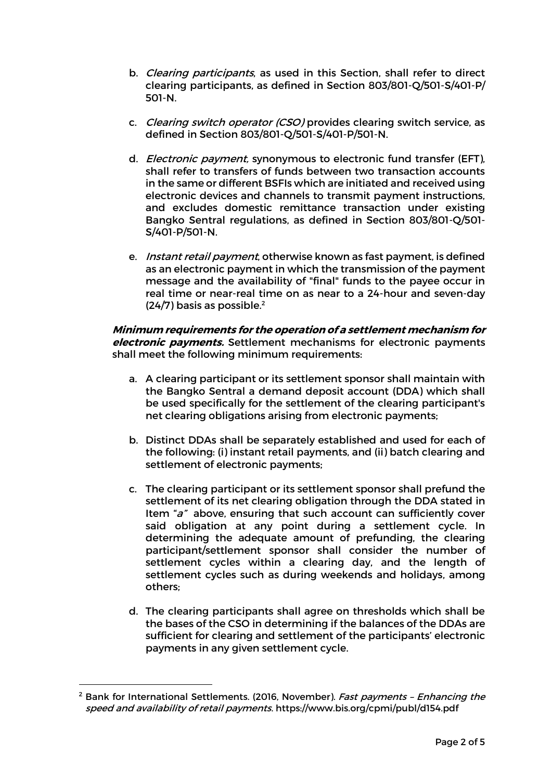- b. *Clearing participants*, as used in this Section, shall refer to direct clearing participants, as defined in Section 803/801-Q/501-S/401-P/ 501-N.
- c. Clearing switch operator (CSO) provides clearing switch service, as defined in Section 803/801-Q/501-S/401-P/501-N.
- d. *Electronic payment*, synonymous to electronic fund transfer (EFT), shall refer to transfers of funds between two transaction accounts in the same or different BSFIs which are initiated and received using electronic devices and channels to transmit payment instructions, and excludes domestic remittance transaction under existing Bangko Sentral regulations, as defined in Section 803/801-Q/501- S/401-P/501-N.
- e. *Instant retail payment*, otherwise known as fast payment, is defined as an electronic payment in which the transmission of the payment message and the availability of "final" funds to the payee occur in real time or near-real time on as near to a 24-hour and seven-day  $(24/7)$  basis as possible.<sup>2</sup>

**Minimum requirements for the operation of a settlement mechanism for electronic payments.** Settlement mechanisms for electronic payments shall meet the following minimum requirements:

- a. A clearing participant or its settlement sponsor shall maintain with the Bangko Sentral a demand deposit account (DDA) which shall be used specifically for the settlement of the clearing participant's net clearing obligations arising from electronic payments;
- b. Distinct DDAs shall be separately established and used for each of the following: (i) instant retail payments, and (ii) batch clearing and settlement of electronic payments;
- c. The clearing participant or its settlement sponsor shall prefund the settlement of its net clearing obligation through the DDA stated in Item "a" above, ensuring that such account can sufficiently cover said obligation at any point during a settlement cycle. In determining the adequate amount of prefunding, the clearing participant/settlement sponsor shall consider the number of settlement cycles within a clearing day, and the length of settlement cycles such as during weekends and holidays, among others;
- d. The clearing participants shall agree on thresholds which shall be the bases of the CSO in determining if the balances of the DDAs are sufficient for clearing and settlement of the participants' electronic payments in any given settlement cycle.

 $<sup>2</sup>$  Bank for International Settlements. (2016, November). Fast payments - Enhancing the</sup> speed and availability of retail payments. https://www.bis.org/cpmi/publ/d154.pdf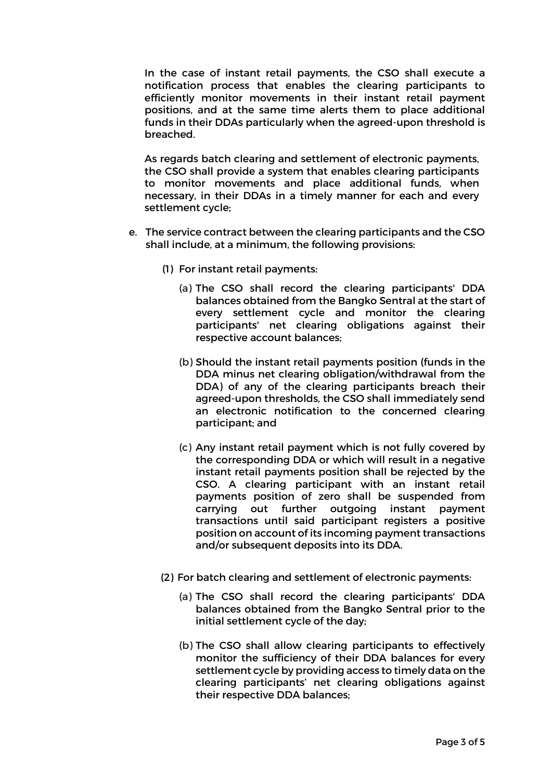In the case of instant retail payments, the CSO shall execute a notification process that enables the clearing participants to efficiently monitor movements in their instant retail payment positions, and at the same time alerts them to place additional funds in their DDAs particularly when the agreed-upon threshold is breached.

As regards batch clearing and settlement of electronic payments, the CSO shall provide a system that enables clearing participants to monitor movements and place additional funds, when necessary, in their DDAs in a timely manner for each and every settlement cycle;

- e. The service contract between the clearing participants and the CSO shall include, at a minimum, the following provisions:
	- (1) For instant retail payments:
		- (a) The CSO shall record the clearing participants' DDA balances obtained from the Bangko Sentral at the start of every settlement cycle and monitor the clearing participants' net clearing obligations against their respective account balances;
		- (b) Should the instant retail payments position (funds in the DDA minus net clearing obligation/withdrawal from the DDA) of any of the clearing participants breach their agreed-upon thresholds, the CSO shall immediately send an electronic notification to the concerned clearing participant; and
		- (c) Any instant retail payment which is not fully covered by the corresponding DDA or which will result in a negative instant retail payments position shall be rejected by the CSO. A clearing participant with an instant retail payments position of zero shall be suspended from carrying out further outgoing instant payment transactions until said participant registers a positive position on account of its incoming payment transactions and/or subsequent deposits into its DDA.
	- (2) For batch clearing and settlement of electronic payments:
		- (a) The CSO shall record the clearing participants' DDA balances obtained from the Bangko Sentral prior to the initial settlement cycle of the day;
		- (b) The CSO shall allow clearing participants to effectively monitor the sufficiency of their DDA balances for every settlement cycle by providing access to timely data on the clearing participants' net clearing obligations against their respective DDA balances;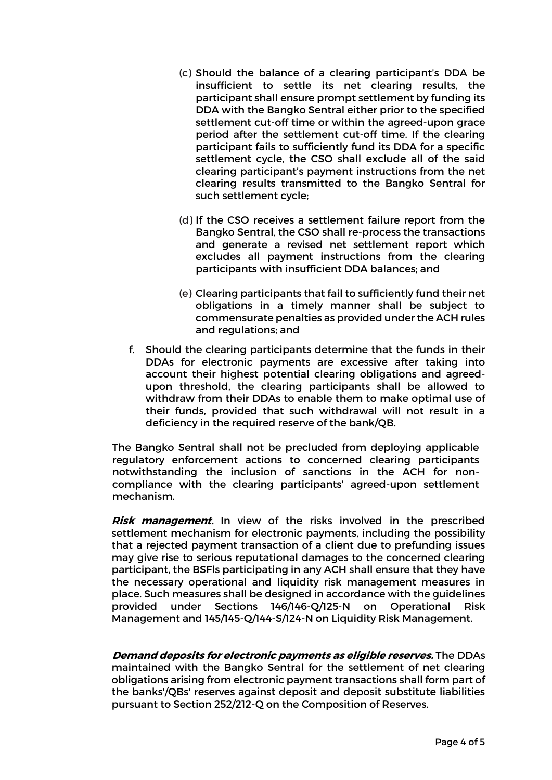- (c) Should the balance of a clearing participant's DDA be insufficient to settle its net clearing results, the participant shall ensure prompt settlement by funding its DDA with the Bangko Sentral either prior to the specified settlement cut-off time or within the agreed-upon grace period after the settlement cut-off time. If the clearing participant fails to sufficiently fund its DDA for a specific settlement cycle, the CSO shall exclude all of the said clearing participant's payment instructions from the net clearing results transmitted to the Bangko Sentral for such settlement cycle;
- (d) If the CSO receives a settlement failure report from the Bangko Sentral, the CSO shall re-process the transactions and generate a revised net settlement report which excludes all payment instructions from the clearing participants with insufficient DDA balances; and
- (e) Clearing participants that fail to sufficiently fund their net obligations in a timely manner shall be subject to commensurate penalties as provided under the ACH rules and regulations; and
- f. Should the clearing participants determine that the funds in their DDAs for electronic payments are excessive after taking into account their highest potential clearing obligations and agreedupon threshold, the clearing participants shall be allowed to withdraw from their DDAs to enable them to make optimal use of their funds, provided that such withdrawal will not result in a deficiency in the required reserve of the bank/QB.

The Bangko Sentral shall not be precluded from deploying applicable regulatory enforcement actions to concerned clearing participants notwithstanding the inclusion of sanctions in the ACH for noncompliance with the clearing participants' agreed-upon settlement mechanism.

**Risk management.** In view of the risks involved in the prescribed settlement mechanism for electronic payments, including the possibility that a rejected payment transaction of a client due to prefunding issues may give rise to serious reputational damages to the concerned clearing participant, the BSFls participating in any ACH shall ensure that they have the necessary operational and liquidity risk management measures in place. Such measures shall be designed in accordance with the guidelines provided under Sections 146/146-Q/125-N on Operational Risk Management and 145/145-Q/144-S/124-N on Liquidity Risk Management.

**Demand deposits for electronic payments as eligible reserves.** The DDAs maintained with the Bangko Sentral for the settlement of net clearing obligations arising from electronic payment transactions shall form part of the banks'/QBs' reserves against deposit and deposit substitute liabilities pursuant to Section 252/212-Q on the Composition of Reserves.